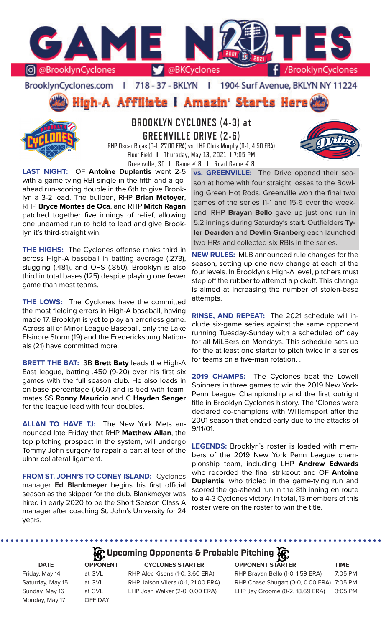

BrooklynCyclones.com | 718 - 37 - BKLYN | 1904 Surf Avenue, BKLYN NY 11224

High-A Affiliate i Amazin' Starts Here



# **BROOKLYN CYCLONES (4-3) at GREENVILLE DRIVE (2-6)**

RHP Oscar Rojas (0-1, 27.00 ERA) vs. LHP Chris Murphy (0-1, 4.50 ERA) Fluor Field **I** Thursday, May 13, 2021 **I** 7:05 PM Greenville, SC **I** Game # 8 **I** Road Game # 8

**LAST NIGHT:** OF **Antoine Duplantis** went 2-5 with a game-tying RBI single in the fifth and a goahead run-scoring double in the 6th to give Brooklyn a 3-2 lead. The bullpen, RHP **Brian Metoyer**, RHP **Bryce Montes de Oca**, and RHP **Mitch Ragan**  patched together five innings of relief, allowing one unearned run to hold to lead and give Brooklyn it's third-straight win.

**THE HIGHS:** The Cyclones offense ranks third in across High-A baseball in batting average (.273), slugging (.481), and OPS (.850). Brooklyn is also third in total bases (125) despite playing one fewer game than most teams.

**THE LOWS:** The Cyclones have the committed the most fielding errors in High-A baseball, having made 17. Brooklyn is yet to play an errorless game. Across all of Minor League Baseball, only the Lake Elsinore Storm (19) and the Fredericksburg Nationals (21) have committed more.

**BRETT THE BAT:** 3B **Brett Baty** leads the High-A East league, batting .450 (9-20) over his first six games with the full season club. He also leads in on-base percentage (.607) and is tied with teammates SS **Ronny Mauricio** and C **Hayden Senger** for the league lead with four doubles.

**ALLAN TO HAVE TJ:** The New York Mets announced late Friday that RHP **Matthew Allan**, the top pitching prospect in the system, will undergo Tommy John surgery to repair a partial tear of the ulnar collateral ligament.

**FROM ST. JOHN'S TO CONEY ISLAND:** Cyclones manager **Ed Blankmeyer** begins his first official season as the skipper for the club. Blankmeyer was hired in early 2020 to be the Short Season Class A manager after coaching St. John's University for 24 years.

**vs. GREENVILLE:** The Drive opened their season at home with four straight losses to the Bowling Green Hot Rods. Greenville won the final two games of the series 11-1 and 15-6 over the weekend. RHP **Brayan Bello** gave up just one run in 5.2 innings during Saturday's start. Outfielders **Tyler Dearden** and **Devlin Granberg** each launched two HRs and collected six RBIs in the series.

**NEW RULES:** MLB announced rule changes for the season, setting up one new change at each of the four levels. In Brooklyn's High-A level, pitchers must step off the rubber to attempt a pickoff. This change is aimed at increasing the number of stolen-base attempts.

**RINSE, AND REPEAT:** The 2021 schedule will include six-game series against the same opponent running Tuesday-Sunday with a scheduled off day for all MiLBers on Mondays. This schedule sets up for the at least one starter to pitch twice in a series for teams on a five-man rotation. .

**2019 CHAMPS:** The Cyclones beat the Lowell Spinners in three games to win the 2019 New York-Penn League Championship and the first outright title in Brooklyn Cyclones history. The 'Clones were declared co-champions with Williamsport after the 2001 season that ended early due to the attacks of 9/11/01.

**LEGENDS:** Brooklyn's roster is loaded with members of the 2019 New York Penn League championship team, including LHP **Andrew Edwards** who recorded the final strikeout and OF **Antoine Duplantis**, who tripled in the game-tying run and scored the go-ahead run in the 8th inning en route to a 4-3 Cyclones victory. In total, 13 members of this roster were on the roster to win the title.

# **Incoming Opponents & Probable Pitching**

 $\begin{array}{cccccccccccccc} \bullet & \bullet & \bullet & \bullet & \bullet & \bullet & \bullet & \bullet & \bullet \end{array}$ 

|                  |                 | $\mathbf{Q}$ , $\mathbf{Q}$ , $\mathbf{Q}$ , $\mathbf{Q}$ |                                           |             |
|------------------|-----------------|-----------------------------------------------------------|-------------------------------------------|-------------|
| <b>DATE</b>      | <b>OPPONENT</b> | <b>CYCLONES STARTER</b>                                   | <b>OPPONENT STARTER</b>                   | <b>TIME</b> |
| Friday, May 14   | at GVL          | RHP Alec Kisena (1-0, 3.60 ERA)                           | RHP Brayan Bello (1-0, 1.59 ERA)          | 7:05 PM     |
| Saturday, May 15 | at GVL          | RHP Jaison Vilera (0-1, 21.00 ERA)                        | RHP Chase Shugart (0-0, 0.00 ERA) 7:05 PM |             |
| Sunday, May 16   | at GVL          | LHP Josh Walker (2-0, 0.00 ERA)                           | LHP Jay Groome (0-2, 18.69 ERA)           | 3:05 PM     |
| Monday, May 17   | OFF DAY         |                                                           |                                           |             |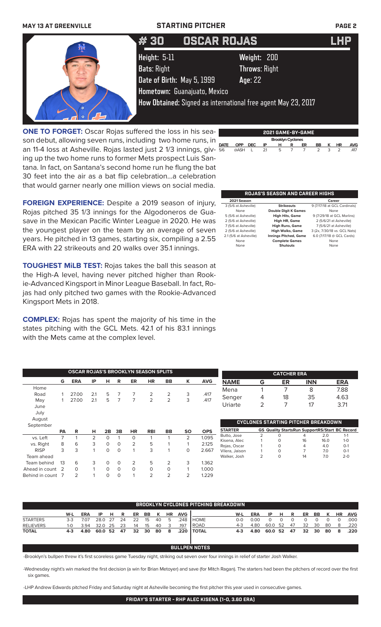

**ONE TO FORGET:** Oscar Rojas suffered the loss in his season debut, allowing seven runs, including two home runs, in an 11-4 loss at Asheville. Rojas lasted just 2 1/3 innings, giving up the two home runs to former Mets prospect Luis Santana. In fact, on Santana's second home run he flung the bat 30 feet into the air as a bat flip celebration...a celebration that would garner nearly one million views on social media.

**FOREIGN EXPERIENCE:** Despite a 2019 season of injury, Rojas pitched 35 1/3 innings for the Algodoneros de Guasave in the Mexican Pacific Winter League in 2020. He was the youngest player on the team by an average of seven years. He pitched in 13 games, starting six, compiling a 2.55 ERA with 22 strikeouts and 20 walks over 35.1 innings.

**TOUGHEST MiLB TEST:** Rojas takes the ball this season at the High-A level, having never pitched higher than Rookie-Advanced Kingsport in Minor League Baseball. In fact, Rojas had only pitched two games with the Rookie-Advanced Kingsport Mets in 2018.

**COMPLEX:** Rojas has spent the majority of his time in the states pitching with the GCL Mets. 42.1 of his 83.1 innings with the Mets came at the complex level.

Team behind 13 6 3 0 0 2 5 2 3 1.362 Ahead in count 2 0 1 0 0 0 0 0 0 1 1.000 Behind in count 7 2 1 0 0 1 2 2 2 2 1229

| $\overline{\phantom{0}}$ |             |            |            |     |                          |                | 2021 GAME-BY-GAME |    |   |                |            |
|--------------------------|-------------|------------|------------|-----|--------------------------|----------------|-------------------|----|---|----------------|------------|
|                          |             |            |            |     | <b>Brooklyn Cyclones</b> |                |                   |    |   |                |            |
|                          | <b>DATE</b> | <b>OPP</b> | <b>DEC</b> | IP  | н                        | R              | ER                | BB | к | <b>HR</b>      | <b>AVG</b> |
| Ξ.                       | 5/6         | @ASH       |            | 2.1 | 5                        | $\overline{7}$ | $\overline{7}$    | 2  | 3 | $\overline{2}$ | .417       |
| ۰                        |             |            |            |     |                          |                |                   |    |   |                |            |
| t                        |             |            |            |     |                          |                |                   |    |   |                |            |

## **ROJAS'S SEASON AND CAREER HIGHS**

| 2021 Season            |                              | Career                       |
|------------------------|------------------------------|------------------------------|
| 3 (5/6 at Asheville)   | <b>Strikeouts</b>            | 9 (7/17/18 at GCL Cardinals) |
| None                   | <b>Double Digit K Games</b>  | None                         |
| 5 (5/6 at Asheville)   | <b>High Hits, Game</b>       | 9 (7/29/18 at GCL Marlins)   |
| 2 (5/6 at Asheville)   | High HR, Game                | 2 (5/6/21 at Asheville)      |
| 7 (5/6 at Asheville)   | <b>High Runs, Game</b>       | 7 (5/6/21 at Asheville)      |
| 2 (5/6 at Asheville)   | <b>High Walks, Game</b>      | 3 (2x, 7/30/18 vs. GCL Nats) |
| 2.1 (5/6 at Asheville) | <b>Innings Pitched, Game</b> | 6.0 (7/17/18 @ GCL Cards)    |
| None                   | <b>Complete Games</b>        | None                         |
| None                   | <b>Shutouts</b>              | None                         |

|             | <b>OSCAR ROJAS'S BROOKLYN SEASON SPLITS</b> |            |     |          |          |           |            |           |           |            |                |   | <b>CATCHER ERA</b>                                    |            |      |            |
|-------------|---------------------------------------------|------------|-----|----------|----------|-----------|------------|-----------|-----------|------------|----------------|---|-------------------------------------------------------|------------|------|------------|
|             | G                                           | <b>ERA</b> | IP  | н        | R        | ER        | <b>HR</b>  | <b>BB</b> | K         | <b>AVG</b> | <b>NAME</b>    | G | ER                                                    | <b>INN</b> |      | <b>ERA</b> |
| Home        |                                             |            |     |          |          |           |            |           |           |            | Mena           |   |                                                       | 8          |      | 7.88       |
| Road        |                                             | 27.00      | 2.1 | 5        |          |           | 2          | 2         | 3         | .417       |                |   |                                                       |            |      |            |
| May         |                                             | 27.00      | 2.1 | 5        |          |           |            | 2         | 3         | .417       | Senger         | 4 | 18                                                    | 35         |      | 4.63       |
| June        |                                             |            |     |          |          |           |            |           |           |            | Uriarte        | 2 |                                                       | 17         |      | 3.71       |
| July        |                                             |            |     |          |          |           |            |           |           |            |                |   |                                                       |            |      |            |
|             |                                             |            |     |          |          |           |            |           |           |            |                |   |                                                       |            |      |            |
| August      |                                             |            |     |          |          |           |            |           |           |            |                |   | <b>CYCLONES STARTING PITCHER BREAKDOWN</b>            |            |      |            |
| September   |                                             |            |     |          |          |           |            |           |           |            |                |   |                                                       |            |      |            |
|             | <b>PA</b>                                   | R          | н   | 2B       | 3B       | <b>HR</b> | <b>RBI</b> | <b>BB</b> | <b>SO</b> | <b>OPS</b> | <b>STARTER</b> |   | <b>GS Quality StartsRun SupportRS/Start BC Record</b> |            |      |            |
| vs. Left    |                                             |            | 2   | $\Omega$ |          | 0         |            |           | 2         | 1.095      | Butto, Jose    | 2 |                                                       | 4          | 2.0  | $1 - 1$    |
|             |                                             |            |     |          |          |           | 5          |           |           |            | Kisena, Alec   |   | $\Omega$                                              | 16         | 16.0 | $1 - 0$    |
| vs. Right   | 8                                           | 6          | 3   | $\Omega$ | $\Omega$ | 2         |            |           |           | 2.125      | Rojas, Oscar   |   | $\Omega$                                              | 4          | 4.0  | $O-1$      |
| <b>RISP</b> | 3                                           | 3          |     | $\Omega$ | $\Omega$ |           | 3          |           | 0         | 2.667      | Vilera, Jaison |   | $\Omega$                                              |            | 7.0  | $O-1$      |
| Team ahead  |                                             |            |     |          |          |           |            |           |           |            | Walker, Josh   |   | 0                                                     | 14         | 7.0  | $2 - 0$    |

|                  | <b>BROOKLYN CYCLONES PITCHING BREAKDOWN</b> |            |         |      |    |    |     |    |           |            |                |       |            |         |      |    |    |    |    |           |            |
|------------------|---------------------------------------------|------------|---------|------|----|----|-----|----|-----------|------------|----------------|-------|------------|---------|------|----|----|----|----|-----------|------------|
|                  | W-L                                         | <b>ERA</b> | -IP     | н    |    | ER | BB. |    | <b>HR</b> | <b>AVG</b> |                | W-L   | <b>ERA</b> | ΙP      | н    | R  | ER | BB | к  | <b>HR</b> | <b>AVG</b> |
| <b>STARTERS</b>  | $3-3$                                       | 7.07       | 28.0 27 |      | 24 | 22 | 15  | 40 | Ь         | 248        | <b>HOME</b>    | റ-റ   | 0.00       |         |      |    |    |    |    |           | .000       |
| <b>RELIEVERS</b> | 1-0                                         | 3.94       | 32.0    | - 25 | 23 | 14 | 15  | 40 |           | .197       | <b>ROAD</b>    | $4-3$ | 4.80       | 60.0    | - 52 | 47 | 32 | 30 | 80 | 8         | .220       |
| <b>TOTAL</b>     | $4-3$                                       | 4.80       | 60.0 52 |      | 47 | 32 | 30  | 80 | 8         | .220       | <b>I TOTAL</b> | $4-3$ | 4.80       | 60.0 52 |      | 47 | 32 | 30 | 80 | 8         | .220       |

-Brooklyn's bullpen threw it's first scoreless game Tuesday night, striking out seven over four innings in relief of starter Josh Walker.

-Wednesday night's win marked the first decision (a win for Brian Metoyer) and save (for Mitch Ragan). The starters had been the pitchers of record over the first six games.

**BULLPEN NOTES**

-LHP Andrew Edwards pitched Friday and Saturday night at Asheville becoming the first pitcher this year used in consecutive games.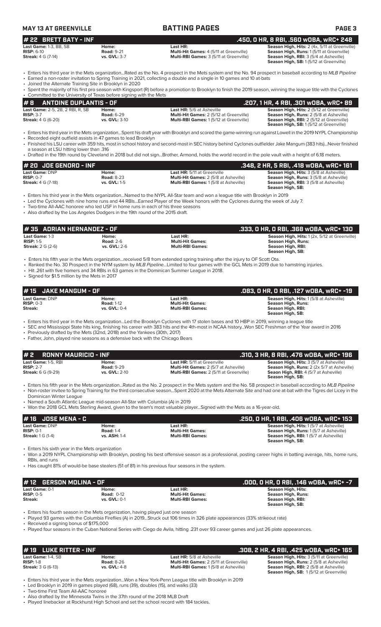| <b>MAY 13 AT GREENVILLE</b>                                         |                                            | <b>BATTING PAGES</b>                                                                                                                                         | <b>PAGE 3</b>                                                                                                                                                                         |
|---------------------------------------------------------------------|--------------------------------------------|--------------------------------------------------------------------------------------------------------------------------------------------------------------|---------------------------------------------------------------------------------------------------------------------------------------------------------------------------------------|
| $#$ 22 BRETT BATY - INF                                             |                                            |                                                                                                                                                              | .450. 0 HR. 8 RBI. .560 WOBA. wRC+ 248                                                                                                                                                |
| Last Game: 1-3. BB. SB<br>$RISP: 6-10$<br><b>Streak: 4 G (7-14)</b> | Home:<br><b>Road: 9-21</b><br>vs. GVL: 3-7 | Last HR:<br><b>Multi-Hit Games: 4 (5/11 at Greenville)</b><br>Multi-RBI Games: 3 (5/11 at Greenville)                                                        | Season High, Hits: 2 (4x, 5/11 at Greenville)<br>Season High, Runs: 1(5/11 at Greenville)<br><b>Season High, RBI: 3 (5/4 at Asheville)</b><br>Season High, SB: 1 (5/12 at Greenville) |
|                                                                     |                                            | • Enters his third year in the Mets organizationRated as the No. 4 prospect in the Mets system and the No. 94 prospect in baseball according to MLB Pipeline |                                                                                                                                                                                       |

• Earned a non-roster invitation to Spring Training in 2021, collecting a double and a single in 10 games and 10 at-bats

• Joined the Alternate Training Site in Brooklyn in 2020

| <b>Bothed the Alternate Training Site in Brooklyn in 2020</b>                                                                                                        |
|----------------------------------------------------------------------------------------------------------------------------------------------------------------------|
| ∙ Spent the majority of his first pro season with Kingsport (R) before a promotion to Brooklyn to finish the 2019 season, winning the league title with the Cyclones |
| • Committed to the University of Texas before signing with the Mets                                                                                                  |

| #B<br>ANTOINE DUPLANTIS - OF            |                   |                                                | .207, 1 HR, 4 RBI, .301 wOBA, wRC+ 89            |
|-----------------------------------------|-------------------|------------------------------------------------|--------------------------------------------------|
| <b>Last Game: 2-5, 2B, 2 RBI, R, SB</b> | Home:             | <b>Last HR:</b> 5/6 at Asheville               | <b>Season High, Hits: 2 (5/12 at Greenville)</b> |
| $RISP: 3-7$                             | <b>Road: 6-29</b> | <b>Multi-Hit Games: 2 (5/12 at Greenville)</b> | <b>Season High, Runs: 2 (5/8 at Asheville)</b>   |
| <b>Streak:</b> 4 G (6-20)               | vs. GVL: 3-10     | <b>Multi-RBI Games: 1(5/12 at Greenville)</b>  | <b>Season High, RBI:</b> 2 (5/12 at Greenville)  |
|                                         |                   |                                                | <b>Season High, SB:</b> 1(5/12 at Greenville)    |

• Enters his third year in the Mets organization...Spent his draft year with Brooklyn and scored the game-winning run against Lowell in the 2019 NYPL Championship Recorded eight outfield assists in 47 games to lead Brooklyn

• Finished his LSU career with 359 hits, most in school history and second-most in SEC history behind Cyclones outfielder Jake Mangum (383 hits)...Never finished a season at LSU hitting lower than .316

• Drafted in the 19th round by Cleveland in 2018 but did not sign...Brother, Armond, holds the world record in the pole vault with a height of 6.18 meters.

| $# 20$ JOE GENORD - INF   |                   |                                              | . .348, 2 HR, 5 RBI, .418 wOBA, wRC+ 161'      |
|---------------------------|-------------------|----------------------------------------------|------------------------------------------------|
| <b>Last Game: DNP</b>     | Home:             | <b>Last HR:</b> 5/11 at Greenville           | <b>Season High, Hits: 3 (5/8 at Asheville)</b> |
| $RISP: 0-7$               | <b>Road: 8-23</b> | <b>Multi-Hit Games: 2 (5/8 at Asheville)</b> | <b>Season High, Runs: 3 (5/8 at Asheville)</b> |
| <b>Streak:</b> 4 G (7-18) | vs. GVL: 1-5      | <b>Multi-RBI Games: 1(5/8 at Asheville)</b>  | <b>Season High, RBI: 3 (5/8 at Asheville)</b>  |
|                           |                   |                                              | Season High, SB:                               |

• Enters his third year in the Mets organization...Named to the NYPL All-Star team and won a league title with Brooklyn in 2019

• Led the Cyclones with nine home runs and 44 RBIs...Earned Player of the Week honors with the Cyclones during the week of July 7.

• Two-time All-AAC honoree who led USF in home runs in each of his three seasons

• Also drafted by the Los Angeles Dodgers in the 19th round of the 2015 draft.

| #35 ADRIAN HERNANDEZ - OF                                   |                                                  |                                                                                                                              | .333, O HR, O RBI, .368 wOBA, wRC+ 130                                                                             |
|-------------------------------------------------------------|--------------------------------------------------|------------------------------------------------------------------------------------------------------------------------------|--------------------------------------------------------------------------------------------------------------------|
| Last Game: 1-3<br>$RISP: 1-5$<br><b>Streak:</b> $2 G (2-6)$ | Home:<br><b>Road: 2-6</b><br><b>vs. GVL: 2-6</b> | Last HR:<br><b>Multi-Hit Games:</b><br><b>Multi-RBI Games:</b>                                                               | <b>Season High, Hits: 1(2x, 5/12 at Greenville)</b><br>Season High, Runs:<br>Season High, RBI:<br>Season High, SB: |
|                                                             |                                                  | • Enters his fifth year in the Mets organizationreceived 5/8 from extended spring training after the injury to OF Scott Ota. |                                                                                                                    |

• Ranked the No. 30 Prospect in the NYM system by *MLB Pipeline...*Limited to four games with the GCL Mets in 2019 due to hamstring injuries.

• Hit .261 with five homers and 34 RBIs in 63 games in the Dominican Summer League in 2018. • Signed for \$1.5 million by the Mets in 2017

**Last Game:** DNP **Home: Last HR: Season High, Hits:** 1 (5/8 at Asheville) **RISP:** 0-3 **Road:** 1-12 **Multi-Hit Games: Season High, Runs: Streak: vs. GVL:** 0-4 **Multi-RBI Games: Season High, RBI: Season High, SB: # 15 JAKE MANGUM - OF .083, 0 HR, 0 RBI, .127 wOBA, wRC+ -19**

• Enters his third year in the Mets organization...Led the Brooklyn Cyclones with 17 stolen bases and 10 HBP in 2019, winning a league title

• SEC and Mississippi State hits king, finishing his career with 383 hits and the 4th-most in NCAA history...Won SEC Freshman of the Year award in 2016 Previously drafted by the Mets (32nd, 2018) and the Yankees (30th, 2017)

• Father, John, played nine seasons as a defensive back with the Chicago Bears

| $# 2$ RONNY MAURICIO - INF |                   |                                                | .310, 3 HR, 8 RBI, .476 wOBA, wRC+ 196                           |
|----------------------------|-------------------|------------------------------------------------|------------------------------------------------------------------|
| Last Game: 1-5, RBI        | Home:             | <b>Last HR:</b> 5/11 at Greenville             | <b>Season High, Hits: 3 (5/7 at Asheville)</b>                   |
| $RISP: 2-7$                | <b>Road: 9-29</b> | <b>Multi-Hit Games: 2 (5/7 at Asheville)</b>   | <b>Season High, Runs:</b> 2 (2x 5/7 at Asheville)                |
| <b>Streak: 6 G (9-29)</b>  | vs. GVL: 2-10     | <b>Multi-RBI Games: 2 (5/11 at Greenville)</b> | <b>Seaon High, RBI: 4 (5/7 at Asheville)</b><br>Season High, SB: |
|                            |                   |                                                |                                                                  |

• Enters his fifth year in the Mets organization...Rated as the No. 2 prospect in the Mets system and the No. 58 prospect in baseball according to *MLB Pipeline* • Non-roster invitee to Spring Training for the third consecutive season...Spent 2020 at the Mets Alternate Site and had one at-bat with the Tigres del Licey in the Dominican Winter League

• Named a South Atlantic League mid-season All-Star with Columbia (A) in 2019

• Won the 2018 GCL Mets Sterling Award, given to the team's most valuable player...Signed with the Mets as a 16-year-old.

| 1# 16   JOSE MENA - C                |                           |                                     | . 250, O HR, 1 RBI, .406 wOBA, wRC+ 153.                                                       |
|--------------------------------------|---------------------------|-------------------------------------|------------------------------------------------------------------------------------------------|
| <b>Last Game: DNP</b><br>$RISP: 0-1$ | Home:<br><b>Road: 1-4</b> | Last HR:<br><b>Multi-Hit Games:</b> | <b>Season High, Hits: 1(5/7 at Asheville)</b><br><b>Season High, Runs: 1(5/7 at Asheville)</b> |
| <b>Streak:</b> 1 G (1-4)             | <b>vs. ASH: 1-4</b>       | <b>Multi-RBI Games:</b>             | <b>Season High, RBI:</b> 1(5/7 at Asheville)<br>Season High, SB:                               |

• Enters his sixth year in the Mets organization

• Won a 2019 NYPL Championship with Brooklyn, posting his best offensive season as a professional, posting career highs in batting average, hits, home runs, RBIs, and runs

• Has caught 81% of would-be base stealers (51 of 81) in his previous four seasons in the system.

| #12 GERSON MOLINA - OF |                   |                         | .000, 0 HR, 0 RBI, .146 w0BA, wRC+ -7 |
|------------------------|-------------------|-------------------------|---------------------------------------|
| Last Game: 0-1         | Home:             | Last HR:                | Season High, Hits:                    |
| $RISP: 0-5$            | <b>Road: 0-12</b> | <b>Multi-Hit Games:</b> | Season High, Runs:                    |
| Streak:                | vs. GVL: 0-1      | <b>Multi-RBI Games:</b> | Season High, RBI:<br>Season High, SB: |

• Enters his fourth season in the Mets organization, having played just one season

• Played 93 games with the Columbia Fireflies (A) in 2019...Struck out 106 times in 326 plate appearances (33% strikeout rate)

• Received a signing bonus of \$175,000

• Played four seasons in the Cuban National Series with Ciego de Avila, hitting .231 over 93 career games and just 26 plate appearances.

| $# 19$ LUKE RITTER - INF                                       |                                                   |                                                                                                                                   | .308, 2 HR, 4 RBI, .425 wOBA, wRC+ 165                                                                                                                                                               |
|----------------------------------------------------------------|---------------------------------------------------|-----------------------------------------------------------------------------------------------------------------------------------|------------------------------------------------------------------------------------------------------------------------------------------------------------------------------------------------------|
| Last Game: 1-4. SB<br>$RISP: 1-8$<br><b>Streak: 3 G (6-13)</b> | Home:<br><b>Road: 8-26</b><br><b>vs. GVL: 4-8</b> | <b>Last HR:</b> 5/8 at Asheville<br><b>Multi-Hit Games: 2 (5/11 at Greenville)</b><br><b>Multi-RBI Games: 1(5/8 at Asheville)</b> | <b>Season High, Hits: 3 (5/11 at Greenville)</b><br><b>Season High, Runs: 2 (5/8 at Asheville)</b><br><b>Season High, RBI:</b> 2 (5/8 at Asheville)<br><b>Season High, SB: 1(5/12 at Greenville)</b> |

• Enters his third year in the Mets organization...Won a New York-Penn League title with Brooklyn in 2019 Led Brooklyn in 2019 in games played (68), runs (39), doubles (15), and walks (33)

• Two-time First Team All-AAC honoree

• Also drafted by the Minnesota Twins in the 37th round of the 2018 MLB Draft • Played linebacker at Rockhurst High School and set the school record with 184 tackles.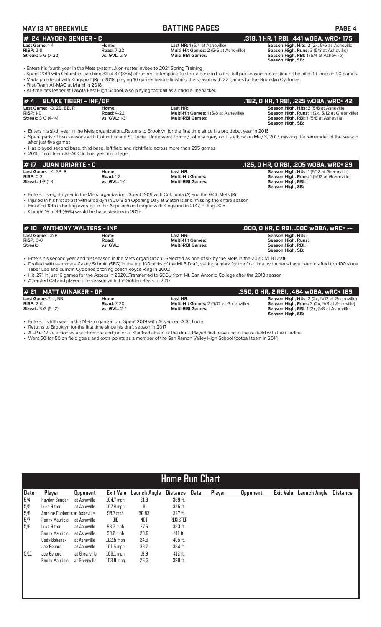| <b>MAY 13 AT GREENVILE</b> |                     | <b>BATTING PAGES</b>                         | <b>PAGE 4</b>                                      |
|----------------------------|---------------------|----------------------------------------------|----------------------------------------------------|
| $#$ 24 HAYDEN SENGER - C   |                     |                                              | . .318, 1 HR, 1 RBI, .441 wOBA, <u>wRC+ 175</u> \  |
| Last Game: 1-4             | Home:               | <b>Last HR:</b> 1(5/4 at Asheville)          | <b>Season High, Hits: 2 (2x, 5/6 as Asheville)</b> |
| $RISP: 2-8$                | <b>Road: 7-22</b>   | <b>Multi-Hit Games: 2 (5/6 at Asheville)</b> | <b>Season High, Runs: 3 (5/8 at Asheville)</b>     |
| <b>Streak:</b> 5 G (7-22)  | <b>vs. GVL: 2-9</b> | <b>Multi-RBI Games:</b>                      | <b>Season High, RBI:</b> 1(5/4 at Asheville)       |

**Season High, SB:** 

• Enters his fourth year in the Mets system...Non-roster invitee to 2021 Spring Training

• Spent 2019 with Columbia, catching 33 of 87 (38%) of runners attempting to steal a base in his first full pro season and getting hit by pitch 19 times in 90 games. • Made pro debut with Kingsport (R) in 2018, playing 10 games before finishing the season with 22 games for the Brooklyn Cyclones

• First-Team All-MAC at Miami in 2018

• All-time hits leader at Lakota East High School, also playing football as a middle linebacker.

| $# 4$ BLAKE TIBERI - INF/OF      |                   |                                             | .182, 0 HR, 1 RBI, .225 w0BA, wRC+ 42          |
|----------------------------------|-------------------|---------------------------------------------|------------------------------------------------|
| <b>Last Game: 1-3, 2B, BB, R</b> | Home:             | Last HR:                                    | <b>Season High, Hits: 2 (5/8 at Asheville)</b> |
| $RISP: 1-9$                      | <b>Road: 4-22</b> | <b>Multi-Hit Games: 1(5/8 at Asheville)</b> | Season High, Runs: 1(2x, 5/12 at Greenville)   |
| <b>Streak: 3 G (4-14)</b>        | vs. $GVL: 1-3$    | <b>Multi-RBI Games:</b>                     | <b>Season High, RBI:</b> 1(5/8 at Asheville)   |
|                                  |                   |                                             | Season High, SB:                               |

• Enters his sixth year in the Mets organization...Returns to Brooklyn for the first time since his pro debut year in 2016 • Spent parts of two seasons with Columbia and St. Lucie...Underwent Tommy John surgery on his elbow on May 3, 2017, missing the remainder of the season after just five games

• Has played second base, third base, left field and right field across more than 295 games

• 2016 Third Team All-ACC in final year in college.

| # 17 JUAN URIARTE - C                |                  |                         | . .125, O HR, O RBI, .205 wOBA, wRC+ 29 '       |
|--------------------------------------|------------------|-------------------------|-------------------------------------------------|
| <b>Last Game:</b> $1-4$ . $3B$ . $R$ | Home:            | Last HR:                | Season High, Hits: 1(5/12 at Greenville)        |
| $RISP: 0-3$                          | <b>Road: 1-8</b> | <b>Multi-Hit Games:</b> | <b>Season High, Runs: 1(5/12 at Greenville)</b> |
| <b>Streak:</b> 1 G (1-4)             | vs. GVL: 1-4     | <b>Multi-RBI Games:</b> | Season High, RBI:                               |
|                                      |                  |                         | Season High, SB:                                |

• Enters his eighth year in the Mets organization...Spent 2019 with Columbia (A) and the GCL Mets (R)

• Injured in his first at-bat with Brooklyn in 2018 on Opening Day at Staten Island, missing the entire season

• Finished 10th in batting average in the Appalachian League with Kingsport in 2017, hitting .305

• Caught 16 of 44 (36%) would-be base stealers in 2019.

| #10 ANTHONY WALTERS - INF                |                               |                                                                | .000, 0 HR, 0 RBI, .000 w0BA, wRC+ --                                                           |
|------------------------------------------|-------------------------------|----------------------------------------------------------------|-------------------------------------------------------------------------------------------------|
| Last Game: DNP<br>$RISP: 0-0$<br>Streak: | Home:<br>Road:<br>vs. GVL:    | Last HR:<br><b>Multi-Hit Games:</b><br><b>Multi-RBI Games:</b> | <b>Season High, Hits:</b><br><b>Season High, Runs:</b><br>Season High, RBI:<br>Season High, SB: |
| _ _ _ _                                  | $\mathbf{r}$ and $\mathbf{r}$ | .                                                              |                                                                                                 |

• Enters his second year and first season in the Mets organization...Selected as one of six by the Mets in the 2020 MLB Draft • Drafted with teammate Casey Schmitt (SFG) in the top 100 picks of the MLB Draft, setting a mark for the first time two Aztecs have been drafted top 100 since Taber Lee and current Cyclones pitching coach Royce Ring in 2002

• Hit .271 in just 16 games for the Aztecs in 2020...Transferred to SDSU from Mt. San Antonio College after the 2018 season

• Attended Cal and played one season with the Golden Bears in 2017

| $#$ 21 MATT WINAKER - OF          |                            |                                                            | .350. 0 HR. 2 RBI. .464 wOBA. wRC+ 189                                                                     |
|-----------------------------------|----------------------------|------------------------------------------------------------|------------------------------------------------------------------------------------------------------------|
| Last Game: 2-4. BB<br>$RISP: 2-6$ | Home:<br><b>Road: 7-20</b> | Last HR:<br><b>Multi-Hit Games: 2 (5/12 at Greenville)</b> | <b>Season High, Hits: 2 (2x, 5/12 at Greenville)</b><br><b>Season High, Runs:</b> 3 (2x, 5/8 at Asheville) |
| <b>Streak: 3 G (5-12)</b>         | vs. $GVL: 2-4$             | <b>Multi-RBI Games:</b>                                    | <b>Season High, RBI:</b> 1(2x, 5/8 at Asheville)                                                           |
|                                   |                            |                                                            | Season High, SB:                                                                                           |

• Enters his fifth year in the Mets organization...Spent 2019 with Advanced-A St. Lucie

• Returns to Brooklyn for the first time since his draft season in 2017

• All-Pac 12 selection as a sophomore and junior at Stanford ahead of the draft...Played first base and in the outfield with the Cardinal

• Went 50-for-50 on field goals and extra points as a member of the San Ramon Valley High School football team in 2014

|                                                                | <b>Home Run Chart</b>          |                 |             |                     |                 |      |        |                 |           |              |                 |
|----------------------------------------------------------------|--------------------------------|-----------------|-------------|---------------------|-----------------|------|--------|-----------------|-----------|--------------|-----------------|
| Date                                                           | Player                         | <b>Opponent</b> | Exit Velo   | <b>Launch Angle</b> | Distance        | Date | Player | <b>Opponent</b> | Exit Velo | Launch Angle | <b>Distance</b> |
|                                                                | Havden Senger                  | at Asheville    | $104.7$ mph | 21.3                | 389 ft.         |      |        |                 |           |              |                 |
| $\begin{array}{r} 5/4 \\ 5/5 \\ 5/6 \\ 5/7 \\ 5/8 \end{array}$ | Luke Ritter                    | at Asheville    | $107.9$ mph | 8                   | 326 ft.         |      |        |                 |           |              |                 |
|                                                                | Antoine Duplantis at Asheville |                 | $93.7$ mph  | 30.83               | 347 ft.         |      |        |                 |           |              |                 |
|                                                                | Ronny Mauricio                 | at Asheville    | DID         | NOT                 | <b>REGISTER</b> |      |        |                 |           |              |                 |
|                                                                | Luke Ritter                    | at Asheville    | $98.3$ mph  | 27.6                | 383 ft.         |      |        |                 |           |              |                 |
|                                                                | Ronny Mauricio                 | at Asheville    | 99.2 mph    | 29.6                | 411 ft.         |      |        |                 |           |              |                 |
|                                                                | Cody Bohanek                   | at Asheville    | $102.5$ mph | 24.9                | 405 ft.         |      |        |                 |           |              |                 |
|                                                                | Joe Genord                     | at Asheville    | $101.6$ mph | 38.2                | 384 ft.         |      |        |                 |           |              |                 |
| 5/11                                                           | Joe Genord                     | at Greenville   | $106.1$ mph | 19.9                | 412 ft.         |      |        |                 |           |              |                 |
|                                                                | Ronny Mauricio                 | at Greenville   | $103.9$ mph | 26.3                | 398 ft.         |      |        |                 |           |              |                 |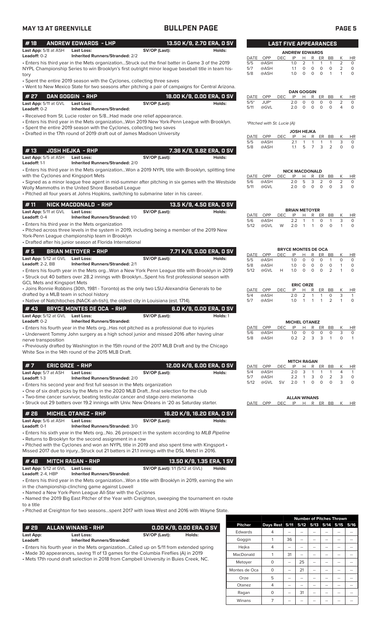| <b>MAY 13 AT GREENVILLE</b>                          |                                                                                                                                                                                                                                                  | <b>BULLPEN PAGE</b>                    |                                     |                    |                             |            |                                  |                                  |                              |                              |                               | <b>PAGE 5</b>                |                                 |
|------------------------------------------------------|--------------------------------------------------------------------------------------------------------------------------------------------------------------------------------------------------------------------------------------------------|----------------------------------------|-------------------------------------|--------------------|-----------------------------|------------|----------------------------------|----------------------------------|------------------------------|------------------------------|-------------------------------|------------------------------|---------------------------------|
| #18                                                  | <b>ANDREW EDWARDS - LHP</b>                                                                                                                                                                                                                      |                                        | 13.50 K/9, 2.70 ERA, 0 SV           |                    |                             |            | <b>LAST FIVE APPEARANCES</b>     |                                  |                              |                              |                               |                              |                                 |
| Last App: 5/8 at ASH<br>Leadoff: 0-2                 | <b>Last Loss:</b><br><b>Inherited Runners/Stranded: 2/2</b>                                                                                                                                                                                      | SV/OP (Last):                          | Holds:                              |                    |                             |            | <b>ANDREW EDWARDS</b>            |                                  |                              |                              |                               |                              |                                 |
|                                                      | · Enters his third year in the Mets organizationStruck out the final batter in Game 3 of the 2019<br>NYPL Championship Series to win Brooklyn's first outright minor league baseball title in team his-                                          |                                        |                                     | DATE<br>5/5<br>5/7 | OPP<br>@ASH<br>@ASH         | <b>DEC</b> | IP<br>1.0<br>1.1                 | н<br>2<br>$\circ$                | R<br>$\mathbf{1}$<br>0       | ER<br>$\mathbf{1}$<br>0      | BB<br>$\mathbf{1}$<br>$\circ$ | К<br>2<br>2                  | <b>HR</b><br>$\circ$<br>$\circ$ |
| tory                                                 | • Spent the entire 2019 season with the Cyclones, collecting three saves                                                                                                                                                                         |                                        |                                     | 5/8                | @ASH                        |            | 1.0                              | $\Omega$                         | $\circ$                      | $\circ$                      | $\mathbf{1}$                  | $\mathbf{1}$                 | $\circ$                         |
|                                                      | • Went to New Mexico State for two seasons after pitching a pair of campaigns for Central Arizona.                                                                                                                                               |                                        |                                     |                    |                             |            |                                  |                                  |                              |                              |                               |                              |                                 |
| # 27                                                 | DAN GOGGIN - RHP                                                                                                                                                                                                                                 |                                        | 18.00 K/9, 0.00 ERA, 0 SV           | DATE               | OPP                         | DEC.       | <b>DAN GOGGIN</b><br>IP          | H                                | R                            | ER                           | BB                            | Κ                            | <b>HR</b>                       |
| Last App: 5/11 at GVL<br>Leadoff: 0-2                | <b>Last Loss:</b><br><b>Inherited Runners/Stranded:</b>                                                                                                                                                                                          | SV/OP (Last):                          | Holds:                              | $5/5*$<br>5/11     | JUP*<br>@GVL                |            | 2.0<br>2.0                       | $\circ$<br>$\Omega$              | $\circ$<br>$\Omega$          | 0<br>$\circ$                 | 0<br>$\circ$                  | 2<br>4                       | 0<br>$\circ$                    |
|                                                      | • Received from St. Lucie roster on 5/8Had made one relief appearance.<br>• Enters his third year in the Mets organizationWon 2019 New York-Penn League with Brooklyn.<br>• Spent the entire 2019 season with the Cyclones, collecting two saves |                                        |                                     |                    | *Pitched with St. Lucie (A) |            |                                  |                                  |                              |                              |                               |                              |                                 |
|                                                      | • Drafted in the 17th round of 2019 draft out of James Madison University                                                                                                                                                                        |                                        |                                     | DATE               | OPP                         | <b>DEC</b> | <b>JOSH HEJKA</b><br>IP          | H                                | R                            | ER                           | BB                            | К                            | <b>HR</b>                       |
|                                                      |                                                                                                                                                                                                                                                  |                                        |                                     | 5/5<br>5/8         | @ASH<br>@ASH                |            | 2.1<br>1.1                       | 1<br>5                           | 1<br>$\overline{7}$          | 1<br>3                       | 1<br>2                        | 3<br>$\circ$                 | $\circ$<br>$\circ$              |
| #13<br>Last App: 5/5 at ASH                          | <b>JOSH HEJKA - RHP</b><br><b>Last Loss:</b>                                                                                                                                                                                                     | SV/OP (Last):                          | 7.36 K/9, 9.82 ERA, 0 SV<br>Holds:  |                    |                             |            |                                  |                                  |                              |                              |                               |                              |                                 |
| Leadoff: 1-1                                         | <b>Inherited Runners/Stranded: 2/0</b><br>. Enters his third year in the Mets organizationWon a 2019 NYPL title with Brooklyn, splitting time                                                                                                    |                                        |                                     |                    |                             |            | <b>NICK MACDONALD</b>            |                                  |                              |                              |                               |                              |                                 |
| with the Cyclones and Kingsport Mets                 | • Signed as a minor league free agent in mid-summer after pitching in six games with the Westside                                                                                                                                                |                                        |                                     | DATE<br>5/6        | OPP<br>@ASH                 | <b>DEC</b> | IP<br>2.0                        | н<br>5                           | R<br>3                       | ER<br>2                      | BB<br>0                       | К<br>2                       | <b>HR</b><br>$\circ$            |
|                                                      | Wolly Mammoths in the United Shore Baseball League<br>. Pitched all four years at Johns Hopkins, switching to submarine later in his career.                                                                                                     |                                        |                                     | 5/11               | @GVL                        |            | 2.0                              | $\circ$                          | $\circ$                      | $\circ$                      | 0                             | 3                            | $\circ$                         |
| #11                                                  | NICK MACDONALD - RHP<br><b>Last Loss:</b>                                                                                                                                                                                                        |                                        | 13.5 K/9, 4.50 ERA, 0 SV            |                    |                             |            | <b>BRIAN METOYER</b>             |                                  |                              |                              |                               |                              |                                 |
| Last App: 5/11 at GVL<br>Leadoff: 0-4                | <b>Inherited Runners/Stranded: 1/0</b>                                                                                                                                                                                                           | SV/OP (Last):                          | Holds:                              | DATE               | OPP                         | <b>DEC</b> | IP<br>2.2                        | Н                                | R                            | ER<br>$\circ$                | BB                            | К<br>3                       | HR                              |
|                                                      | • Enters his third year in the Mets organization<br>• Pitched across three levels in the system in 2019, including being a member of the 2019 New<br>York-Penn League championship team in Brooklyn                                              |                                        |                                     | 5/6<br>5/12        | @ASH<br>@GVL                | W          | 2.0                              | 1<br>$\mathbf{1}$                | 1<br>1                       | 0                            | 1<br>$\circ$                  | $\mathbf{1}$                 | 0<br>$\circ$                    |
|                                                      | • Drafted after his junior season at Florida International                                                                                                                                                                                       |                                        |                                     |                    |                             |            |                                  |                                  |                              |                              |                               |                              |                                 |
| #5                                                   | <b>BRIAN METOYER - RHP</b>                                                                                                                                                                                                                       |                                        | 7.71 K/9, 0.00 ERA, 0 SV            |                    | DATE OPP                    | <b>DEC</b> | <b>BRYCE MONTES DE OCA</b><br>IP | Н                                | R                            | ER                           | BB                            | Κ                            | HR                              |
| Last App: 5/12 at GVL Last Loss:<br>Leadoff: 2-2, BB | <b>Inherited Runners/Stranded: 2/1</b>                                                                                                                                                                                                           | SV/OP (Last):                          | Holds:                              | 5/5                | @ASH                        |            | 1.0                              | 0                                | $\circ$                      | 0                            | $\mathbf{1}$                  | $\circ$                      | $\circ$                         |
| <b>GCL Mets and Kingsport Mets</b>                   | . Enters his fourth year in the Mets orgWon a New York Penn League title with Brooklyn in 2019<br>· Struck out 40 batters over 28.2 innings with BrooklynSpent his first professional season with                                                |                                        |                                     | 5/8<br>5/12        | @ASH<br>@GVL                | H          | 1.0<br>1.0                       | 0<br>$\circ$                     | 0<br>$\circ$                 | 0<br>$\circ$                 | $\circ$<br>2                  | $\mathbf{1}$<br>$\mathbf{1}$ | $\circ$<br>$\circ$              |
|                                                      | • Joins Ronnie Robbins (30th, 1981 - Toronto) as the only two LSU-Alexandria Generals to be                                                                                                                                                      |                                        |                                     | DATE               | OPP                         | DEC        | IP                               | <b>ERIC ORZE</b><br>H            | R                            | ER                           | BB                            | К                            | HR                              |
| drafted by a MLB team in school history              | • Native of Natchitoches (NACK-ah-tish), the oldest city in Louisiana (est. 1714).                                                                                                                                                               |                                        |                                     | 5/4<br>5/7         | @ASH<br>@ASH                |            | 2.0<br>1.0                       | $\overline{2}$<br>$\overline{1}$ | $\mathbf{1}$<br>$\mathbf{1}$ | $\mathbf{1}$<br>$\mathbf{1}$ | 0<br>2                        | 3<br>$\mathbf{1}$            | $\mathbf{1}$<br>$\circ$         |
| #43                                                  | <b>BRYCE MONTES DE OCA - RHP</b>                                                                                                                                                                                                                 |                                        | 6.0 K/9, 0.00 ERA, 0 SV             |                    |                             |            |                                  |                                  |                              |                              |                               |                              |                                 |
| Last App: 5/12 at GVL<br>Leadoff: 0-2                | <b>Last Loss:</b><br><b>Inherited Runners/Stranded:</b>                                                                                                                                                                                          | SV/OP (Last):                          | Holds: 1                            |                    |                             |            | <b>MICHEL OTANEZ</b>             |                                  |                              |                              |                               |                              |                                 |
|                                                      | · Enters his fourth year in the Mets org Has not pitched as a professional due to injuries                                                                                                                                                       |                                        |                                     |                    | DATE OPP                    | <b>DEC</b> | IP                               | н                                | R                            | ER                           | BB                            | K                            | HR                              |
| nerve transposition                                  | • Underwent Tommy John surgery as a high school junior and missed 2016 after having ulnar                                                                                                                                                        |                                        |                                     | 5/6<br>5/8         | @ASH<br>@ASH                |            | 1.0<br>0.2                       | 0<br>2                           | 0<br>3                       | 0<br>3                       | 0<br>1                        | 3<br>0                       | 0<br>$\overline{1}$             |
|                                                      | • Previously drafted by Washington in the 15th round of the 2017 MLB Draft and by the Chicago<br>White Sox in the 14th round of the 2015 MLB Draft.                                                                                              |                                        |                                     |                    |                             |            |                                  |                                  |                              |                              |                               |                              |                                 |
|                                                      |                                                                                                                                                                                                                                                  |                                        |                                     |                    |                             |            | <b>MITCH RAGAN</b>               |                                  |                              |                              |                               |                              |                                 |
| #7<br>Last App: 5/7 at ASH                           | <b>ERIC ORZE - RHP</b><br><b>Last Loss:</b>                                                                                                                                                                                                      | SV/OP (Last):                          | 12.00 K/9, 6.00 ERA, 0 SV<br>Holds: | 5/4                | DATE OPP<br>@ASH            | <b>DEC</b> | IP<br>2.0                        | Н<br>3                           | R<br>1                       | ER<br>1                      | BB<br>1                       | Κ<br>4                       | HR<br>$\mathbf{1}$              |
| Leadoff: 1-3                                         | <b>Inherited Runners/Stranded: 2/0</b>                                                                                                                                                                                                           |                                        |                                     | 5/7<br>5/12        | @ASH                        | SV         | 2.2<br>2.0                       | $\mathbf{1}$<br>$\mathbf{1}$     | 3<br>0                       | 0<br>0                       | 2<br>$\circ$                  | 3<br>3                       | 0<br>$\circ$                    |
|                                                      | • Enters his second year and first full season in the Mets organization<br>. One of six draft picks by the Mets in the 2020 MLB Draftfinal selection for the club                                                                                |                                        |                                     |                    | @GVL                        |            |                                  |                                  |                              |                              |                               |                              |                                 |
|                                                      | • Two-time cancer survivor, beating testicular cancer and stage-zero melanoma<br>• Struck out 29 batters over 19.2 innings with Univ. New Orleans in '20 as Saturday starter.                                                                    |                                        |                                     |                    | DATE OPP                    | DEC        | <b>ALLAN WINANS</b>              |                                  |                              |                              | IP H R ER BB                  | K                            | HR                              |
| #26                                                  | <b>MICHEL OTANEZ - RHP</b>                                                                                                                                                                                                                       |                                        | 16.20 K/9, 16.20 ERA, 0 SV          |                    |                             |            |                                  |                                  |                              |                              |                               |                              |                                 |
| Last App: 5/6 at ASH<br>Leadoff: 0-1                 | <b>Last Loss:</b><br>Inherited Runners/Stranded: 3/0                                                                                                                                                                                             | SV/OP (Last):                          | Holds:                              |                    |                             |            |                                  |                                  |                              |                              |                               |                              |                                 |
|                                                      | • Enters his sixth year in the Mets orgNo. 26 prospect in the system according to MLB Pipeline<br>• Returns to Brooklyn for the second assignment in a row                                                                                       |                                        |                                     |                    |                             |            |                                  |                                  |                              |                              |                               |                              |                                 |
|                                                      | . Pitched with the Cyclones and won an NYPL title in 2019 and also spent time with Kingsport .<br>Missed 2017 due to injuryStruck out 21 batters in 21.1 innings with the DSL Mets1 in 2016.                                                     |                                        |                                     |                    |                             |            |                                  |                                  |                              |                              |                               |                              |                                 |
| #48<br>Last App: 5/12 at GVL                         | <b>MITCH RAGAN - RHP</b><br><b>Last Loss:</b>                                                                                                                                                                                                    | <b>SV/OP (Last):</b> 1/1 (5/12 at GVL) | 13.50 K/9, 1.35 ERA, 1 SV<br>Holds: |                    |                             |            |                                  |                                  |                              |                              |                               |                              |                                 |
| Leadoff: 2-4, HBP                                    | <b>Inherited Runners/Stranded:</b>                                                                                                                                                                                                               |                                        |                                     |                    |                             |            |                                  |                                  |                              |                              |                               |                              |                                 |
|                                                      | Enters his third year in the Mets organizationWon a title with Brooklyn in 2019, earning the win •                                                                                                                                               |                                        |                                     |                    |                             |            |                                  |                                  |                              |                              |                               |                              |                                 |

in the championship-clinching game against Lowell • Named a New York-Penn League All-Star with the Cyclones

• Named the 2019 Big East Pitcher of the Year with Creighton, sweeping the tournament en route to a title

• Pitched at Creighton for two seasons...spent 2017 with Iowa West and 2016 with Wayne State.

| # 29                                                                                    | <b>ALLAN WINANS - RHP</b>                               | 0.00 K/9, 0.00 ERA, 0 SV |        |  |  |  |  |
|-----------------------------------------------------------------------------------------|---------------------------------------------------------|--------------------------|--------|--|--|--|--|
| Last App:<br>Leadoff:                                                                   | <b>Last Loss:</b><br><b>Inherited Runners/Stranded:</b> | SV/OP (Last):            | Holds: |  |  |  |  |
| • Enters his fourth year in the Mets organizationCalled up on 5/11 from extended spring |                                                         |                          |        |  |  |  |  |

• Made 30 appearances, saving 11 of 13 games for the Columbia Fireflies (A) in 2019

• Mets 17th round draft selection in 2018 from Campbell University in Buies Creek, NC.

|                |                | <b>Number of Pitches Thrown</b> |    |                |  |      |      |  |  |  |
|----------------|----------------|---------------------------------|----|----------------|--|------|------|--|--|--|
| <b>Pitcher</b> | Days Rest 5/11 |                                 |    | 5/12 5/13 5/14 |  | 5/15 | 5/16 |  |  |  |
| Edwards        | 4              |                                 |    |                |  |      |      |  |  |  |
| Goggin         |                | 36                              |    |                |  |      |      |  |  |  |
| Hejka          | $\overline{4}$ |                                 |    |                |  |      |      |  |  |  |
| MacDonald      | 1              | 31                              |    |                |  |      |      |  |  |  |
| Metoyer        | O              | --                              | 25 |                |  |      |      |  |  |  |
| Montes de Oca  | $\Omega$       |                                 | 21 |                |  |      |      |  |  |  |
| Orze           | 5              |                                 |    |                |  |      |      |  |  |  |
| Otanez         | 4              |                                 |    |                |  |      |      |  |  |  |
| Ragan          | 0              |                                 | 31 |                |  |      |      |  |  |  |
| Winans         | 7              |                                 |    |                |  |      |      |  |  |  |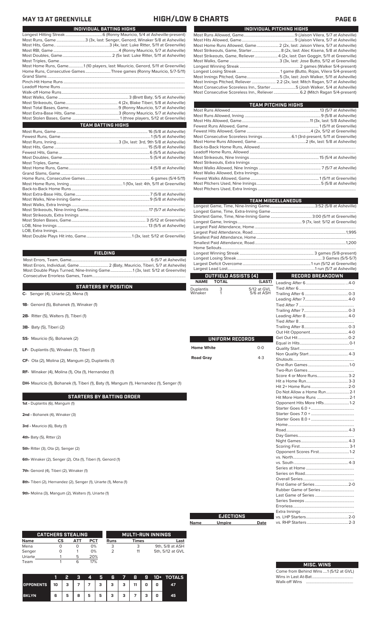## **MAY 13 AT GREENVILLE HIGH/LOW & CHARTS PAGE 6**

| INDIVIDUAL BATTING HIGHS                                                       |  |
|--------------------------------------------------------------------------------|--|
|                                                                                |  |
| Most Runs, Game 3 (3x, last: Senger, Genord, Winaker 5/8 at Asheville)         |  |
|                                                                                |  |
|                                                                                |  |
|                                                                                |  |
|                                                                                |  |
| Most Home Runs, Game1 (10 players, last: Mauricio, Genord, 5/11 at Greenville) |  |
| Home Runs, Consecutive Games Three games (Ronny Mauricio, 5/7-5/11)            |  |
|                                                                                |  |
|                                                                                |  |
|                                                                                |  |
|                                                                                |  |
|                                                                                |  |
|                                                                                |  |
|                                                                                |  |
|                                                                                |  |
|                                                                                |  |
| <b>TEAM BATTING HIGHS</b>                                                      |  |
|                                                                                |  |
|                                                                                |  |
|                                                                                |  |
|                                                                                |  |
|                                                                                |  |
|                                                                                |  |
|                                                                                |  |
|                                                                                |  |
|                                                                                |  |
|                                                                                |  |
|                                                                                |  |
|                                                                                |  |
|                                                                                |  |
|                                                                                |  |
|                                                                                |  |
|                                                                                |  |
|                                                                                |  |
|                                                                                |  |
|                                                                                |  |
|                                                                                |  |
|                                                                                |  |

### **FIELDING**

Most Errors, Team, Game...............................................................................6 (5/7 at Asheville) .<br>(Baty, Mauricio, Tiberi, 5/7 at Asheville) 2 (Baty, Mauricio, Tiberi, 5/12 at Greenville Most Double Plays Turned, Nine-Inning Game...

|                                                                                            | <b>NAME</b>       | <b>TOTAL</b>    | (LAST)      |                           |  |
|--------------------------------------------------------------------------------------------|-------------------|-----------------|-------------|---------------------------|--|
| <b>STARTERS BY POSITION</b>                                                                | Duplantis         | 3               | 5/12 at GVL |                           |  |
| C- Senger (4), Uriarte (2), Mena (1)                                                       | Winaker           | 1               | 5/6 at ASH  |                           |  |
|                                                                                            |                   |                 |             |                           |  |
| 1B- Genord (5), Bohanek (1), Winaker (1)                                                   |                   |                 |             |                           |  |
|                                                                                            |                   |                 |             |                           |  |
| 2B- Ritter (5), Walters (1), Tiberi (1)                                                    |                   |                 |             |                           |  |
|                                                                                            |                   |                 |             |                           |  |
| 3B- Baty (5), Tiberi (2)                                                                   |                   |                 |             |                           |  |
|                                                                                            |                   |                 |             |                           |  |
| SS- Mauricio (5), Bohanek (2)                                                              |                   | UNIFORM RECORDS |             |                           |  |
|                                                                                            |                   |                 |             |                           |  |
| LF- Duplantis (5), Winaker (1), Tiberi (1)                                                 | <b>Home White</b> |                 | $O-O$       |                           |  |
|                                                                                            |                   |                 |             |                           |  |
| CF- Ota (2), Molina (2), Mangum (2), Duplantis (1)                                         | <b>Road Gray</b>  |                 | $4 - 3$     |                           |  |
|                                                                                            |                   |                 |             |                           |  |
| RF- Winaker (4), Molina (1), Ota (1), Hernandez (1)                                        |                   |                 |             |                           |  |
|                                                                                            |                   |                 |             | Score 4 or More Runs3-2   |  |
| DH- Mauricio (1), Bohanek (1), Tiberi (1), Baty (1), Mangum (1), Hernandez (1), Senger (1) |                   |                 |             |                           |  |
|                                                                                            |                   |                 |             |                           |  |
|                                                                                            |                   |                 |             |                           |  |
| <b>STARTERS BY BATTING ORDER</b>                                                           |                   |                 |             |                           |  |
| 1st - Duplantis (6), Mangum (1)                                                            |                   |                 |             | Opponent Hits More HRs1-2 |  |
|                                                                                            |                   |                 |             |                           |  |
| 2nd - Bohanek (4), Winaker (3)                                                             |                   |                 |             |                           |  |
|                                                                                            |                   |                 |             |                           |  |
| 3rd - Mauricio (6), Baty (1)                                                               |                   |                 |             |                           |  |
|                                                                                            |                   |                 |             |                           |  |
| 4th- Baty (5), Ritter (2)                                                                  |                   |                 |             |                           |  |
|                                                                                            |                   |                 |             |                           |  |
| 5th- Ritter (3), Ota (2), Senger (2)                                                       |                   |                 |             |                           |  |
|                                                                                            |                   |                 |             | Opponent Scores First1-2  |  |
| 6th- Winaker (2), Senger (2), Ota (1), Tiberi (1), Genord (1)                              |                   |                 |             |                           |  |
|                                                                                            |                   |                 |             |                           |  |
| 7th- Genord (4), Tiberi (2), Winaker (1)                                                   |                   |                 |             |                           |  |
|                                                                                            |                   |                 |             |                           |  |

### Fewest Walks Allowed, Game .................................................................... 1 (5/11 at Greenville) Most Pitchers Used, Nine Innings................................................................5 (5/8 at Asheville) Most Pitchers Used, Extra Innings Longest Game, Time, Nine-Inning Game.............................................3:52 (5/8 at Asheville) Longest Game, Time, Extra-Inning Game..................................................................................... Shortest Game, Time, Nine-Inning Game ......................................... 3:00 (5/11 at Greenville) Largest Paid Attendance, Home..................................................................................................... Largest Paid Attendance, Road.............................................................................................1,995 Smallest Paid Attendance, Home ................................................................................................... Smallest Paid Attendance, Road... **TEAM MISCELLANEOUS**

Most Strikeouts, Nine Innings. Most Strikeouts, Extra Innings

**OUTFIELD ASSISTS (4)**

Consecutive Errorless Games, Team.

### Trailing After 8............................................0-3 ponent Get Out Hit..................................................0-2 Equal in Hits.................................................0-1 Quality Start ...................................................... Non Quality Start....................................... 4-3 Shutouts............................................................. One-Run Games .........................................1-0 Two-Run Games .............................................. More Runs. Hit a Home Run.......................................... 3-3 e Runs Do Not Allow a Home Run.......................2-1 Hit More Home Runs ................................2-1 Hits More HRs.  $.456.0 + .1$  $\text{ES } 7.0 +$  $SO +$ Home.................................................................. Road.............................................................. 4-3 Day Games........................................................ Night Games............................................... 4-3 Scoring First................................................. 3-1 Opponent Scores First..............................1-2 vs. North............................................................. vs. South ...................................................... 4-3 Series at Home ................................................ Series on Road... Overall Series................................................... First Game of Series Rubber Game of Series ... Last Game of Series ... Series Sweeps ... Errorless.. Extra Innings... vs. LHP Starters..........................................2-0 vs. RHP Starters ...

.9 (7x, last: 5/12 at Greenville)

**RECORD BREAKDOWN**

|             | <b>EJECTIONS</b> |      |
|-------------|------------------|------|
| <b>Name</b> | <b>Umpire</b>    | Date |

|         | <b>CATCHERS STEALING</b> |     |            |      | <b>MULTI-RUN INNINGS</b> |                  |
|---------|--------------------------|-----|------------|------|--------------------------|------------------|
| Name    | СS                       | АТТ | <b>PCT</b> | Runs | Times                    | Last             |
| Mena    |                          | O   | 0%         |      | 3                        | 9th, 5/8 at ASH  |
| Senger  |                          |     | 0%         |      | 11                       | 5th, 5/12 at GVL |
| Uriarte |                          | 5   | 20%        |      |                          |                  |
| Team    |                          | 6   | 17%        |      |                          |                  |

**8th-** Tiberi (2), Hernandez (2), Senger (1), Uriarte (1), Mena (1)

**9th-** Molina (3), Mangum (2), Walters (1), Uriarte (1)

|                  |        | 2           | в | 4 | Ы     | Æ                                                 | 78 |    |   |   | <b>9 10+ TOTALS</b> |
|------------------|--------|-------------|---|---|-------|---------------------------------------------------|----|----|---|---|---------------------|
| <b>OPPONENTS</b> | $10-1$ | $3^{\circ}$ |   |   | 7 7 3 | $\left\{ \begin{array}{c} 3 \end{array} \right\}$ | -3 | 11 | 0 | 0 | 47                  |
| <b>BKLYN</b>     | 6      | 5           | 8 | 5 | 5     | з                                                 | з  |    | ٠ | 0 | 45                  |

### Most Runs Allowed, Game...................................................9 (Jaison Vilera, 5/7 at Asheville)

Most Hits Allowed, Game.....................................................9 (Jaison Vilera, 5/7 at Asheville) Most Home Runs Allowed, Game.......................... 2 (2x, last: Jaison Vilera, 5/7 at Asheville) Most Strikeouts, Game, Starter.............................8 (2x, last: Alec Kisena, 5/8 at Asheville) Most Strikeouts, Game, Reliever.......................4 (2x, last: Dan Goggin, 5/11 at Greenville) Most Walks, Game ..................................................3 (3x, last: Jose Butto, 5/12 at Greenville) Longest Winning Streak ............................................................2 games (Walker 5/4-present) Longest Losing Streak ........................................... 1 game (Butto, Rojas, Vilera 5/4-present) Most Innings Pitched, Game.................................5 (3x, last: Josh Walker, 5/11 at Asheville) Most Innings Pitched, Reliever ........................ 2.2 (2x, last: Mitch Ragan, 5/7 at Asheville) Most Consecutive Scoreless Inn., Starter.........................5 (Josh Walker, 5/4 at Asheville) Most Consecutive Scoreless Inn., Reliever..........................6.2 (Mitch Ragan 5/4-present)

**INDIVIDUAL PITCHING HIGHS**

Most Runs Allowed.........................................................................................13 (5/7 at Asheville) Most Runs Allowed, Inning ............................................................................9 (5/8 at Asheville) Most Hits Allowed, Game....................................................................11 (3x, last: 5/8 Asheville) Fewest Runs Allowed, Game...................................................................... 1 (5/11 at Greenville) Fewest Hits Allowed, Game ................................................................4 (2x, 5/12 at Greenville) Most Consecutive Scoreless Innings.............................6.1 (3rd-present, 5/11 at Greenville) Most Home Runs Allowed, Game.................................................2 (4x, last: 5/8 at Asheville) Back-to-Back Home Runs, Allowed................................................................................................ Leadoff Home Runs, Allowed ..........................................................................................................

**TEAM PITCHING HIGHS**

Most Walks Allowed, Nine Innings .............................................................. 7 (5/7 at Asheville) Most Walks Allowed, Extra Innings.................................................................................................

Home Sellouts...................................................................................................................................... Longest Winning Streak .......................................................................... 3 games (5/8-present) Longest Losing Streak .....................................................................................3 Games (5/5-5/7) Largest Deficit Overcome....................................................................1 run (5/12 at Greenville) Largest Lead Lost.......................................................................................1 run (5/7 at Asheville)

| <b>MISC. WINS</b>                     |  |
|---------------------------------------|--|
| Come from Behind Wins 1 (5/12 at GVL) |  |

Wins in Last At-Bat......................................... Walk-off Wins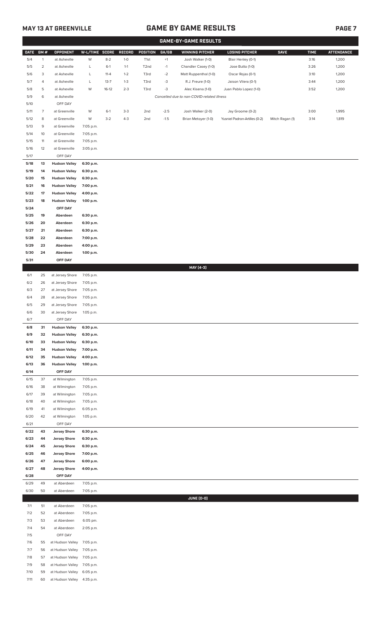# **MAY 13 AT GREENVILLE GAME BY GAME RESULTS**

|               |                |                                              |                        |          |         |                   |        | <b>GAME-BY-GAME RESULTS</b>                |                               |                 |             |                   |
|---------------|----------------|----------------------------------------------|------------------------|----------|---------|-------------------|--------|--------------------------------------------|-------------------------------|-----------------|-------------|-------------------|
| <b>DATE</b>   | GM#            | <b>OPPONENT</b>                              | W-L/TIME SCORE         |          | RECORD  | <b>POSITION</b>   | GA/GB  | <b>WINNING PITCHER</b>                     | <b>LOSING PITCHER</b>         | <b>SAVE</b>     | <b>TIME</b> | <b>ATTENDANCE</b> |
| 5/4           | $\mathbf{1}$   | at Asheville                                 | W                      | $8 - 2$  | $1-0$   | T <sub>1st</sub>  | $+1$   | Josh Walker (1-0)                          | Blair Henley (0-1)            |                 | 3:16        | 1,200             |
| 5/5           | $\overline{2}$ | at Asheville                                 | L                      | $6-1$    | $1 - 1$ | T <sub>2</sub> nd | $-1$   | Chandler Casey (1-0)                       | Jose Butto (1-0)              |                 | 3:26        | 1,200             |
| 5/6           | 3              | at Asheville                                 | L                      | $11 - 4$ | $1 - 2$ | T3rd              | $-2$   | Matt Ruppenthal (1-0)                      | Oscar Rojas (0-1)             |                 | 3:10        | 1,200             |
| 5/7           | $\overline{4}$ | at Asheville                                 | L                      | $13 - 7$ | $1 - 3$ | T3rd              | $-3$   | R.J. Freure (1-0)                          | Jaison Vilera (0-1)           |                 | 3:44        | 1,200             |
| 5/8           | 5              | at Asheville                                 | W                      | $16-12$  | $2 - 3$ | T3rd              | $-3$   | Alec Kisena (1-0)                          | Juan Pablo Lopez (1-0)        |                 | 3:52        | 1,200             |
| 5/9<br>$5/10$ | 6              | at Asheville<br>OFF DAY                      |                        |          |         |                   |        | Cancelled due to non-COVID-related illness |                               |                 |             |                   |
| 5/11          | $\overline{7}$ | at Greenville                                | W                      | $6-1$    | $3-3$   | 2nd               | $-2.5$ | Josh Walker (2-0)                          | Jay Groome (0-2)              |                 | 3:00        | 1,995             |
| 5/12          | 8              | at Greenville                                | W                      | $3 - 2$  | $4 - 3$ | 2nd               | $-1.5$ | Brian Metoyer (1-0)                        | Yusniel Padron-Artilles (0-2) | Mitch Ragan (1) | 3:14        | 1,819             |
| 5/13          | 9              | at Greenville                                | 7:05 p.m.              |          |         |                   |        |                                            |                               |                 |             |                   |
| 5/14          | 10             | at Greenville                                | 7:05 p.m.              |          |         |                   |        |                                            |                               |                 |             |                   |
| 5/15          | 11             | at Greenville                                | 7:05 p.m.              |          |         |                   |        |                                            |                               |                 |             |                   |
| 5/16          | 12             | at Greenville                                | 3:05 p.m.              |          |         |                   |        |                                            |                               |                 |             |                   |
| 5/17          |                | OFF DAY                                      |                        |          |         |                   |        |                                            |                               |                 |             |                   |
| 5/18          | 13             | <b>Hudson Valley</b>                         | 6:30 p.m.              |          |         |                   |        |                                            |                               |                 |             |                   |
| 5/19          | 14             | <b>Hudson Valley</b>                         | 6:30 p.m.              |          |         |                   |        |                                            |                               |                 |             |                   |
| 5/20          | 15             | <b>Hudson Valley</b>                         | 6:30 p.m.              |          |         |                   |        |                                            |                               |                 |             |                   |
| 5/21          | 16             | <b>Hudson Valley</b>                         | 7:00 p.m.              |          |         |                   |        |                                            |                               |                 |             |                   |
| 5/22<br>5/23  | 17<br>18       | <b>Hudson Valley</b><br><b>Hudson Valley</b> | 4:00 p.m.<br>1:00 p.m. |          |         |                   |        |                                            |                               |                 |             |                   |
| 5/24          |                | OFF DAY                                      |                        |          |         |                   |        |                                            |                               |                 |             |                   |
| 5/25          | 19             | Aberdeen                                     | 6:30 p.m.              |          |         |                   |        |                                            |                               |                 |             |                   |
| 5/26          | 20             | Aberdeen                                     | 6:30 p.m.              |          |         |                   |        |                                            |                               |                 |             |                   |
| 5/27          | 21             | Aberdeen                                     | 6:30 p.m.              |          |         |                   |        |                                            |                               |                 |             |                   |
| 5/28          | 22             | Aberdeen                                     | 7:00 p.m.              |          |         |                   |        |                                            |                               |                 |             |                   |
| 5/29          | 23             | Aberdeen                                     | 4:00 p.m.              |          |         |                   |        |                                            |                               |                 |             |                   |
| 5/30          | 24             | Aberdeen                                     | 1:00 p.m.              |          |         |                   |        |                                            |                               |                 |             |                   |
| 5/31          |                | OFF DAY                                      |                        |          |         |                   |        |                                            |                               |                 |             |                   |
|               |                |                                              |                        |          |         |                   |        | MAY [4-3]                                  |                               |                 |             |                   |
| 6/1           | 25             | at Jersey Shore                              | 7:05 p.m.              |          |         |                   |        |                                            |                               |                 |             |                   |
| 6/2<br>6/3    | 26<br>27       | at Jersey Shore<br>at Jersey Shore           | 7:05 p.m.<br>7:05 p.m. |          |         |                   |        |                                            |                               |                 |             |                   |
| 6/4           | 28             | at Jersey Shore                              | 7:05 p.m.              |          |         |                   |        |                                            |                               |                 |             |                   |
| 6/5           | 29             | at Jersey Shore                              | 7:05 p.m.              |          |         |                   |        |                                            |                               |                 |             |                   |
| 6/6           | 30             | at Jersey Shore                              | 1:05 p.m.              |          |         |                   |        |                                            |                               |                 |             |                   |
| 6/7           |                | OFF DAY                                      |                        |          |         |                   |        |                                            |                               |                 |             |                   |
| 6/8           | 31             | <b>Hudson Valley</b>                         | 6:30 p.m.              |          |         |                   |        |                                            |                               |                 |             |                   |
| 6/9           | 32             | <b>Hudson Valley</b>                         | 6:30 p.m.              |          |         |                   |        |                                            |                               |                 |             |                   |
| 6/10          | 33             | <b>Hudson Valley</b>                         | 6:30 p.m.              |          |         |                   |        |                                            |                               |                 |             |                   |
| 6/11          | 34             | <b>Hudson Valley</b>                         | 7:00 p.m.              |          |         |                   |        |                                            |                               |                 |             |                   |
| 6/12<br>6/13  | 35<br>36       | <b>Hudson Valley</b><br><b>Hudson Valley</b> | 4:00 p.m.<br>1:00 p.m. |          |         |                   |        |                                            |                               |                 |             |                   |
| 6/14          |                | OFF DAY                                      |                        |          |         |                   |        |                                            |                               |                 |             |                   |
| 6/15          | 37             | at Wilmington                                | 7:05 p.m.              |          |         |                   |        |                                            |                               |                 |             |                   |
| 6/16          | 38             | at Wilmington                                | 7:05 p.m.              |          |         |                   |        |                                            |                               |                 |             |                   |
| 6/17          | 39             | at Wilmington                                | 7:05 p.m.              |          |         |                   |        |                                            |                               |                 |             |                   |
| 6/18          | 40             | at Wilmington                                | 7:05 p.m.              |          |         |                   |        |                                            |                               |                 |             |                   |
| 6/19          | 41             | at Wilmington                                | 6:05 p.m.              |          |         |                   |        |                                            |                               |                 |             |                   |
| 6/20          | 42             | at Wilmington                                | 1:05 p.m.              |          |         |                   |        |                                            |                               |                 |             |                   |
| 6/21          |                | OFF DAY                                      |                        |          |         |                   |        |                                            |                               |                 |             |                   |
| 6/22<br>6/23  | 43<br>44       | <b>Jersey Shore</b><br><b>Jersey Shore</b>   | 6:30 p.m.<br>6:30 p.m. |          |         |                   |        |                                            |                               |                 |             |                   |
| 6/24          | 45             | <b>Jersey Shore</b>                          | 6:30 p.m.              |          |         |                   |        |                                            |                               |                 |             |                   |
| 6/25          | 46             | <b>Jersey Shore</b>                          | 7:00 p.m.              |          |         |                   |        |                                            |                               |                 |             |                   |
| 6/26          | 47             | <b>Jersey Shore</b>                          | 6:00 p.m.              |          |         |                   |        |                                            |                               |                 |             |                   |
| 6/27          | 48             | <b>Jersey Shore</b>                          | 4:00 p.m.              |          |         |                   |        |                                            |                               |                 |             |                   |
| 6/28          |                | OFF DAY                                      |                        |          |         |                   |        |                                            |                               |                 |             |                   |
| 6/29          | 49             | at Aberdeen                                  | 7:05 p.m.              |          |         |                   |        |                                            |                               |                 |             |                   |
| 6/30          | 50             | at Aberdeen                                  | 7:05 p.m.              |          |         |                   |        |                                            |                               |                 |             |                   |
|               |                |                                              |                        |          |         |                   |        | JUNE (0-0)                                 |                               |                 |             |                   |
| 7/1<br>7/2    | 51<br>52       | at Aberdeen<br>at Aberdeen                   | 7:05 p.m.<br>7:05 p.m. |          |         |                   |        |                                            |                               |                 |             |                   |
| 7/3           | 53             | at Aberdeen                                  | 6:05 pm.               |          |         |                   |        |                                            |                               |                 |             |                   |
| 7/4           | 54             | at Aberdeen                                  | 2:05 p.m.              |          |         |                   |        |                                            |                               |                 |             |                   |
| 7/5           |                | OFF DAY                                      |                        |          |         |                   |        |                                            |                               |                 |             |                   |
| 7/6           | 55             | at Hudson Valley                             | 7:05 p.m.              |          |         |                   |        |                                            |                               |                 |             |                   |
| 7/7           | 56             | at Hudson Valley                             | 7:05 p.m.              |          |         |                   |        |                                            |                               |                 |             |                   |
| 7/8           | 57             | at Hudson Valley                             | 7:05 p.m.              |          |         |                   |        |                                            |                               |                 |             |                   |
| 7/9           | 58             | at Hudson Valley                             | 7:05 p.m.              |          |         |                   |        |                                            |                               |                 |             |                   |
| 7/10          | 59             | at Hudson Valley                             | 6:05 p.m.              |          |         |                   |        |                                            |                               |                 |             |                   |
| 7/11          | 60             | at Hudson Valley 4:35 p.m.                   |                        |          |         |                   |        |                                            |                               |                 |             |                   |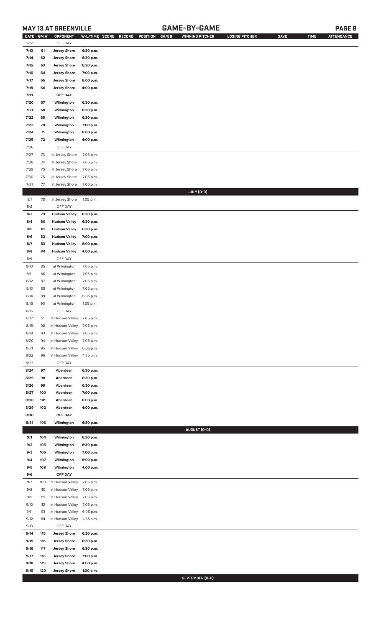# **MAY 13 AT GREENVILLE GAME-BY-GAME PAGE 8**

| <b>DATE</b> | GM# | OPPONENT                   | W-L/TIME SCORE | GA/GB<br>RECORD<br>POSITION | <b>WINNING PITCHER</b> | <b>LOSING PITCHER</b> | <b>SAVE</b> | <b>TIME</b> | <b>ATTENDANCE</b> |
|-------------|-----|----------------------------|----------------|-----------------------------|------------------------|-----------------------|-------------|-------------|-------------------|
| 7/12        |     | OFF DAY                    |                |                             |                        |                       |             |             |                   |
| 7/13        | 61  | <b>Jersey Shore</b>        | 6:30 p.m.      |                             |                        |                       |             |             |                   |
| 7/14        | 62  | <b>Jersey Shore</b>        | 6:30 p.m.      |                             |                        |                       |             |             |                   |
| 7/15        | 63  | <b>Jersey Shore</b>        | 6:30 p.m.      |                             |                        |                       |             |             |                   |
| 7/16        | 64  | <b>Jersey Shore</b>        | 7:00 p.m.      |                             |                        |                       |             |             |                   |
| 7/17        | 65  | <b>Jersey Shore</b>        | 6:00 p.m.      |                             |                        |                       |             |             |                   |
|             |     |                            |                |                             |                        |                       |             |             |                   |
| 7/18        | 66  | <b>Jersey Shore</b>        | 4:00 p.m.      |                             |                        |                       |             |             |                   |
| 7/19        |     | OFF DAY                    |                |                             |                        |                       |             |             |                   |
| 7/20        | 67  | Wilmington                 | 6:30 p.m.      |                             |                        |                       |             |             |                   |
| 7/21        | 68  | Wilmington                 | 6:30 p.m.      |                             |                        |                       |             |             |                   |
| 7/22        | 69  | Wilmington                 | 6:30 p.m.      |                             |                        |                       |             |             |                   |
| 7/23        | 70  | Wilmington                 | 7:00 p.m.      |                             |                        |                       |             |             |                   |
| 7/24        | 71  | Wilmington                 | 6:00 p.m.      |                             |                        |                       |             |             |                   |
| 7/25        | 72  | Wilmington                 | 4:00 p.m.      |                             |                        |                       |             |             |                   |
| 7/26        |     | OFF DAY                    |                |                             |                        |                       |             |             |                   |
|             |     |                            |                |                             |                        |                       |             |             |                   |
| 7/27        | 73  | at Jersey Shore            | 7:05 p.m.      |                             |                        |                       |             |             |                   |
| 7/28        | 74  | at Jersey Shore            | 7:05 p.m.      |                             |                        |                       |             |             |                   |
| 7/29        | 75  | at Jersey Shore            | 7:05 p.m.      |                             |                        |                       |             |             |                   |
| 7/30        | 76  | at Jersey Shore            | 7:05 p.m.      |                             |                        |                       |             |             |                   |
| 7/31        | 77  | at Jersey Shore            | 7:05 p.m.      |                             |                        |                       |             |             |                   |
|             |     |                            |                |                             | JULY (0-0)             |                       |             |             |                   |
| 8/1         | 78  | at Jersey Shore            | 1:05 p.m.      |                             |                        |                       |             |             |                   |
| 8/2         |     | OFF DAY                    |                |                             |                        |                       |             |             |                   |
| 8/3         | 79  | <b>Hudson Valley</b>       | 6:30 p.m.      |                             |                        |                       |             |             |                   |
| 8/4         | 80  | <b>Hudson Valley</b>       | 6:30 p.m.      |                             |                        |                       |             |             |                   |
| 8/5         | 81  | <b>Hudson Valley</b>       | 6:30 p.m.      |                             |                        |                       |             |             |                   |
| 8/6         | 82  | <b>Hudson Valley</b>       | 7:00 p.m.      |                             |                        |                       |             |             |                   |
| 8/7         | 83  | <b>Hudson Valley</b>       | 6:00 p.m.      |                             |                        |                       |             |             |                   |
|             |     |                            |                |                             |                        |                       |             |             |                   |
| 8/8         | 84  | <b>Hudson Valley</b>       | 4:00 p.m.      |                             |                        |                       |             |             |                   |
| 8/9         |     | OFF DAY                    |                |                             |                        |                       |             |             |                   |
| 8/10        | 85  | at Wilmington              | 7:05 p.m.      |                             |                        |                       |             |             |                   |
| 8/11        | 86  | at Wilmington              | 7:05 p.m.      |                             |                        |                       |             |             |                   |
| 8/12        | 87  | at Wilmington              | 7:05 p.m.      |                             |                        |                       |             |             |                   |
| 8/13        | 88  | at Wilmington              | 7:05 p.m.      |                             |                        |                       |             |             |                   |
| 8/14        | 89  | at Wilmington              | 6:05 p.m.      |                             |                        |                       |             |             |                   |
| 8/15        | 90  | at Wilmington              | 1:05 p.m.      |                             |                        |                       |             |             |                   |
| 8/16        |     | OFF DAY                    |                |                             |                        |                       |             |             |                   |
| 8/17        | 91  | at Hudson Valley 7:05 p.m. |                |                             |                        |                       |             |             |                   |
| 8/18        | 92  | at Hudson Valley           | 7:05 p.m.      |                             |                        |                       |             |             |                   |
| 8/19        | 93  | at Hudson Valley           | 7:05 p.m.      |                             |                        |                       |             |             |                   |
| 8/20        | 94  | at Hudson Valley           | 7:05 p.m.      |                             |                        |                       |             |             |                   |
| 8/21        | 95  | at Hudson Valley           | 6:05 p.m.      |                             |                        |                       |             |             |                   |
|             |     |                            |                |                             |                        |                       |             |             |                   |
| 8/22        | 96  | at Hudson Valley           | 4:35 p.m.      |                             |                        |                       |             |             |                   |
| 8/23        |     | OFF DAY                    |                |                             |                        |                       |             |             |                   |
| 8/24        | 97  | Aberdeen                   | 6:30 p.m.      |                             |                        |                       |             |             |                   |
| 8/25        | 98  | Aberdeen                   | 6:30 p.m.      |                             |                        |                       |             |             |                   |
| 8/26        | 99  | Aberdeen                   | 6:30 p.m.      |                             |                        |                       |             |             |                   |
| 8/27        | 100 | Aberdeen                   | 7:00 p.m.      |                             |                        |                       |             |             |                   |
| 8/28        | 101 | Aberdeen                   | 6:00 p.m.      |                             |                        |                       |             |             |                   |
| 8/29        | 102 | Aberdeen                   | 4:00 p.m.      |                             |                        |                       |             |             |                   |
| 8/30        |     | OFF DAY                    |                |                             |                        |                       |             |             |                   |
| 8/31        | 103 | Wilmington                 | 6:30 p.m.      |                             |                        |                       |             |             |                   |
|             |     |                            |                |                             | AUGUST (0-0)           |                       |             |             |                   |
| 9/1         | 104 | Wilmington                 | 6:30 p.m.      |                             |                        |                       |             |             |                   |
| 9/2         | 105 | Wilmington                 | 6:30 p.m.      |                             |                        |                       |             |             |                   |
| 9/3         | 106 | Wilmington                 | 7:00 p.m.      |                             |                        |                       |             |             |                   |
|             |     |                            |                |                             |                        |                       |             |             |                   |
| 9/4         | 107 | Wilmington                 | 6:00 p.m.      |                             |                        |                       |             |             |                   |
| 9/5         | 108 | Wilmington                 | 4:00 p.m.      |                             |                        |                       |             |             |                   |
| 9/6         |     | OFF DAY                    |                |                             |                        |                       |             |             |                   |
| 9/7         | 109 | at Hudson Valley           | 7:05 p.m.      |                             |                        |                       |             |             |                   |
| 9/8         | 110 | at Hudson Valley           | 7:05 p.m.      |                             |                        |                       |             |             |                   |
| 9/9         | 111 | at Hudson Valley           | 7:05 p.m.      |                             |                        |                       |             |             |                   |
| 9/10        | 112 | at Hudson Valley           | 7:05 p.m.      |                             |                        |                       |             |             |                   |
| 9/11        | 113 | at Hudson Valley           | 6:05 p.m.      |                             |                        |                       |             |             |                   |
| 9/12        | 114 | at Hudson Valley           | 4:35 p.m.      |                             |                        |                       |             |             |                   |
| 9/13        |     | OFF DAY                    |                |                             |                        |                       |             |             |                   |
| 9/14        | 115 | <b>Jersey Shore</b>        | 6:30 p.m.      |                             |                        |                       |             |             |                   |
| 9/15        | 116 | <b>Jersey Shore</b>        | 6:30 p.m.      |                             |                        |                       |             |             |                   |
| 9/16        | 117 | <b>Jersey Shore</b>        | 6:30 p.m.      |                             |                        |                       |             |             |                   |
| 9/17        | 118 | <b>Jersey Shore</b>        | 7:00 p.m.      |                             |                        |                       |             |             |                   |
| 9/18        | 119 | <b>Jersey Shore</b>        | 4:00 p.m.      |                             |                        |                       |             |             |                   |
| 9/19        | 120 | <b>Jersey Shore</b>        | 1:00 p.m.      |                             |                        |                       |             |             |                   |

**SEPTEMBER (0-0)**